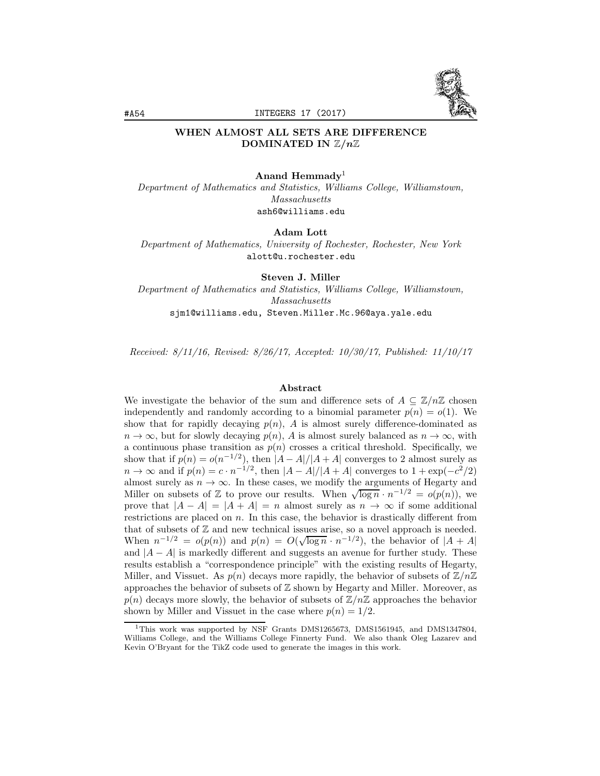

# WHEN ALMOST ALL SETS ARE DIFFERENCE DOMINATED IN Z*/n*Z

#### Anand Hemmady<sup>1</sup>

*Department of Mathematics and Statistics, Williams College, Williamstown, Massachusetts* ash6@williams.edu

Adam Lott

*Department of Mathematics, University of Rochester, Rochester, New York* alott@u.rochester.edu

Steven J. Miller *Department of Mathematics and Statistics, Williams College, Williamstown, Massachusetts* sjm1@williams.edu, Steven.Miller.Mc.96@aya.yale.edu

*Received: 8/11/16, Revised: 8/26/17, Accepted: 10/30/17, Published: 11/10/17*

#### Abstract

We investigate the behavior of the sum and difference sets of  $A \subseteq \mathbb{Z}/n\mathbb{Z}$  chosen independently and randomly according to a binomial parameter  $p(n) = o(1)$ . We show that for rapidly decaying  $p(n)$ , *A* is almost surely difference-dominated as  $n \to \infty$ , but for slowly decaying  $p(n)$ , *A* is almost surely balanced as  $n \to \infty$ , with a continuous phase transition as  $p(n)$  crosses a critical threshold. Specifically, we show that if  $p(n) = o(n^{-1/2})$ , then  $|A - A|/|A + A|$  converges to 2 almost surely as  $n \to \infty$  and if  $p(n) = c \cdot n^{-1/2}$ , then  $|A - A|/|A + A|$  converges to  $1 + \exp(-c^2/2)$ almost surely as  $n \to \infty$ . In these cases, we modify the arguments of Hegarty and Miller on subsets of Z to prove our results. When  $\sqrt{\log n} \cdot n^{-1/2} = o(p(n))$ , we prove that  $|A - A| = |A + A| = n$  almost surely as  $n \to \infty$  if some additional restrictions are placed on *n*. In this case, the behavior is drastically different from that of subsets of Z and new technical issues arise, so a novel approach is needed. When  $n^{-1/2} = o(p(n))$  and  $p(n) = O(\sqrt{\log n} \cdot n^{-1/2})$ , the behavior of  $|A + A|$ and  $|A - A|$  is markedly different and suggests an avenue for further study. These results establish a "correspondence principle" with the existing results of Hegarty, Miller, and Vissuet. As  $p(n)$  decays more rapidly, the behavior of subsets of  $\mathbb{Z}/n\mathbb{Z}$ approaches the behavior of subsets of  $\mathbb Z$  shown by Hegarty and Miller. Moreover, as  $p(n)$  decays more slowly, the behavior of subsets of  $\mathbb{Z}/n\mathbb{Z}$  approaches the behavior shown by Miller and Vissuet in the case where  $p(n)=1/2$ .

<sup>&</sup>lt;sup>1</sup>This work was supported by NSF Grants DMS1265673, DMS1561945, and DMS1347804, Williams College, and the Williams College Finnerty Fund. We also thank Oleg Lazarev and Kevin O'Bryant for the TikZ code used to generate the images in this work.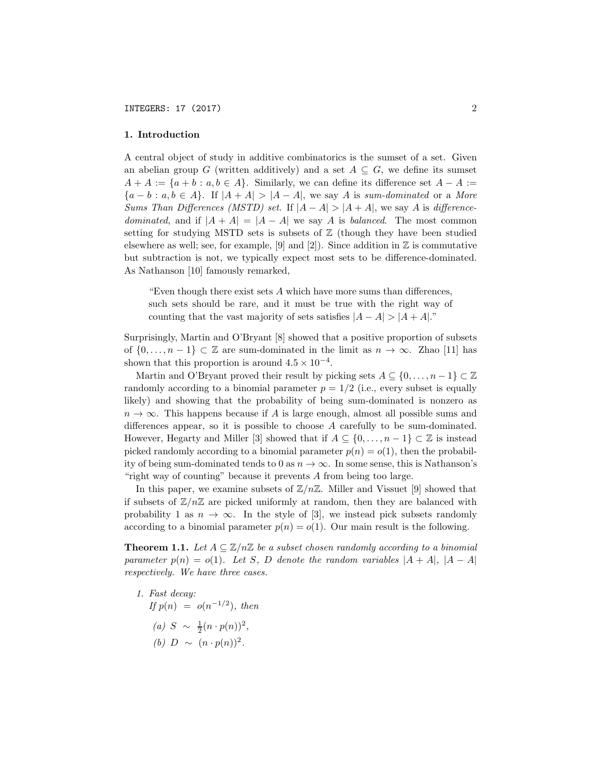#### 1. Introduction

A central object of study in additive combinatorics is the sumset of a set. Given an abelian group *G* (written additively) and a set  $A \subseteq G$ , we define its sumset  $A + A := \{a + b : a, b \in A\}$ . Similarly, we can define its difference set  $A - A :=$ *{a* − *b* : *a, b* ∈ *A}*. If *|A* + *A| > |A* − *A|*, we say *A* is *sum-dominated* or a *More Sums Than Differences (MSTD) set.* If  $|A - A| > |A + A|$ , we say *A* is *differencedominated*, and if  $|A + A| = |A - A|$  we say *A* is *balanced*. The most common setting for studying MSTD sets is subsets of  $\mathbb Z$  (though they have been studied elsewhere as well; see, for example, [9] and [2]). Since addition in  $\mathbb Z$  is commutative but subtraction is not, we typically expect most sets to be difference-dominated. As Nathanson [10] famously remarked,

"Even though there exist sets *A* which have more sums than differences, such sets should be rare, and it must be true with the right way of counting that the vast majority of sets satisfies  $|A - A| > |A + A|$ ."

Surprisingly, Martin and O'Bryant [8] showed that a positive proportion of subsets of  $\{0,\ldots,n-1\}$  ⊂ Z are sum-dominated in the limit as  $n \to \infty$ . Zhao [11] has shown that this proportion is around  $4.5 \times 10^{-4}$ .

Martin and O'Bryant proved their result by picking sets  $A \subseteq \{0, \ldots, n-1\} \subset \mathbb{Z}$ randomly according to a binomial parameter  $p = 1/2$  (i.e., every subset is equally likely) and showing that the probability of being sum-dominated is nonzero as  $n \to \infty$ . This happens because if *A* is large enough, almost all possible sums and differences appear, so it is possible to choose *A* carefully to be sum-dominated. However, Hegarty and Miller [3] showed that if  $A \subseteq \{0, \ldots, n-1\} \subset \mathbb{Z}$  is instead picked randomly according to a binomial parameter  $p(n) = o(1)$ , then the probability of being sum-dominated tends to 0 as  $n \to \infty$ . In some sense, this is Nathanson's "right way of counting" because it prevents *A* from being too large.

In this paper, we examine subsets of  $\mathbb{Z}/n\mathbb{Z}$ . Miller and Vissuet [9] showed that if subsets of  $\mathbb{Z}/n\mathbb{Z}$  are picked uniformly at random, then they are balanced with probability 1 as  $n \to \infty$ . In the style of [3], we instead pick subsets randomly according to a binomial parameter  $p(n) = o(1)$ . Our main result is the following.

**Theorem 1.1.** Let  $A \subseteq \mathbb{Z}/n\mathbb{Z}$  be a subset chosen randomly according to a binomial *parameter*  $p(n) = o(1)$ *. Let S, D denote the random variables*  $|A + A|$ *,*  $|A - A|$ *respectively. We have three cases.*

*1. Fast decay: If*  $p(n) = o(n^{-1/2})$ *, then*  $(a)$  *S* ~  $\frac{1}{2}(n \cdot p(n))^2$ , *(b) D* ∼  $(n \cdot p(n))^2$ .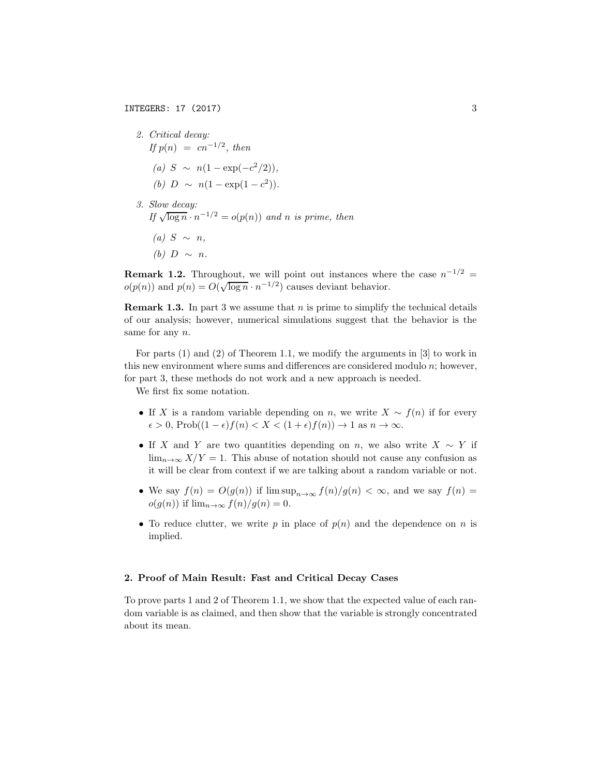*2. Critical decay: If*  $p(n) = cn^{-1/2}$ *, then (a) S* ∼ *n*(1 − exp(−*c*<sup>2</sup>/2))*, (b)*  $D \sim n(1 - \exp(1 - c^2)).$ 

*3. Slow decay: If*  $\sqrt{\log n} \cdot n^{-1/2} = o(p(n))$  *and n is prime, then*  $(a)$  *S* ∼ *n*, *(b) D* ∼ *n*.

**Remark 1.2.** Throughout, we will point out instances where the case  $n^{-1/2}$  $o(p(n))$  and  $p(n) = O(\sqrt{\log n} \cdot n^{-1/2})$  causes deviant behavior.

Remark 1.3. In part 3 we assume that *n* is prime to simplify the technical details of our analysis; however, numerical simulations suggest that the behavior is the same for any *n*.

For parts (1) and (2) of Theorem 1.1, we modify the arguments in [3] to work in this new environment where sums and differences are considered modulo *n*; however, for part 3, these methods do not work and a new approach is needed.

We first fix some notation.

- If *X* is a random variable depending on *n*, we write  $X \sim f(n)$  if for every  $\epsilon > 0$ , Prob( $(1 - \epsilon) f(n) < X < (1 + \epsilon) f(n)$ )  $\to$  1 as  $n \to \infty$ .
- If *X* and *Y* are two quantities depending on *n*, we also write  $X \sim Y$  if  $\lim_{n\to\infty} X/Y = 1$ . This abuse of notation should not cause any confusion as it will be clear from context if we are talking about a random variable or not.
- We say  $f(n) = O(g(n))$  if  $\limsup_{n\to\infty} f(n)/g(n) < \infty$ , and we say  $f(n) =$  $o(g(n))$  if  $\lim_{n\to\infty} f(n)/g(n) = 0$ .
- To reduce clutter, we write  $p$  in place of  $p(n)$  and the dependence on  $n$  is implied.

#### 2. Proof of Main Result: Fast and Critical Decay Cases

To prove parts 1 and 2 of Theorem 1.1, we show that the expected value of each random variable is as claimed, and then show that the variable is strongly concentrated about its mean.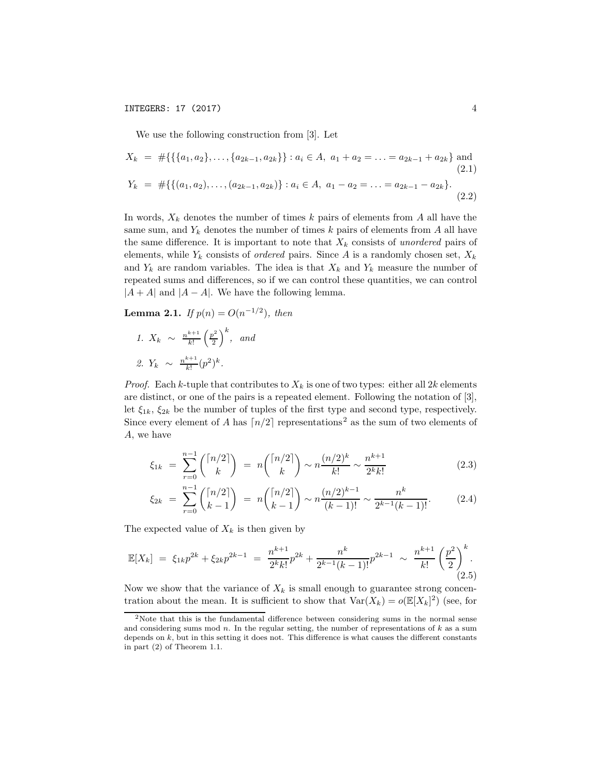We use the following construction from [3]. Let

$$
X_k = #\{\{\{a_1, a_2\}, \ldots, \{a_{2k-1}, a_{2k}\}\} : a_i \in A, \ a_1 + a_2 = \ldots = a_{2k-1} + a_{2k}\} \text{ and } (2.1)
$$
  

$$
Y_k = #\{\{(a_1, a_2), \ldots, (a_{2k-1}, a_{2k})\} : a_i \in A, \ a_1 - a_2 = \ldots = a_{2k-1} - a_{2k}\}.
$$
  

$$
(2.2)
$$

In words,  $X_k$  denotes the number of times  $k$  pairs of elements from  $A$  all have the same sum, and  $Y_k$  denotes the number of times  $k$  pairs of elements from  $A$  all have the same difference. It is important to note that  $X_k$  consists of *unordered* pairs of elements, while  $Y_k$  consists of *ordered* pairs. Since A is a randomly chosen set,  $X_k$ and  $Y_k$  are random variables. The idea is that  $X_k$  and  $Y_k$  measure the number of repeated sums and differences, so if we can control these quantities, we can control  $|A + A|$  and  $|A - A|$ . We have the following lemma.

**Lemma 2.1.** *If*  $p(n) = O(n^{-1/2})$ *, then* 

*1.*  $X_k \sim \frac{n^{k+1}}{k!} \left(\frac{p^2}{2}\right)$  $\bigg)$ <sup>k</sup>, and 2.  $Y_k \sim \frac{n^{k+1}}{k!} (p^2)^k$ .

*Proof.* Each *k*-tuple that contributes to  $X_k$  is one of two types: either all 2*k* elements are distinct, or one of the pairs is a repeated element. Following the notation of [3], let  $\xi_{1k}$ ,  $\xi_{2k}$  be the number of tuples of the first type and second type, respectively. Since every element of *A* has  $\lceil n/2 \rceil$  representations<sup>2</sup> as the sum of two elements of *A*, we have

$$
\xi_{1k} = \sum_{r=0}^{n-1} \binom{\lceil n/2 \rceil}{k} = n \binom{\lceil n/2 \rceil}{k} \sim n \frac{(n/2)^k}{k!} \sim \frac{n^{k+1}}{2^k k!} \tag{2.3}
$$

$$
\xi_{2k} = \sum_{r=0}^{n-1} \binom{\lceil n/2 \rceil}{k-1} = n \binom{\lceil n/2 \rceil}{k-1} \sim n \frac{(n/2)^{k-1}}{(k-1)!} \sim \frac{n^k}{2^{k-1}(k-1)!}.
$$
 (2.4)

The expected value of  $X_k$  is then given by

$$
\mathbb{E}[X_k] = \xi_{1k} p^{2k} + \xi_{2k} p^{2k-1} = \frac{n^{k+1}}{2^k k!} p^{2k} + \frac{n^k}{2^{k-1}(k-1)!} p^{2k-1} \sim \frac{n^{k+1}}{k!} \left(\frac{p^2}{2}\right)^k.
$$
\n(2.5)

Now we show that the variance of  $X_k$  is small enough to guarantee strong concentration about the mean. It is sufficient to show that  $\text{Var}(X_k) = o(\mathbb{E}[X_k]^2)$  (see, for

<sup>2</sup>Note that this is the fundamental difference between considering sums in the normal sense and considering sums mod *n*. In the regular setting, the number of representations of *k* as a sum depends on *k*, but in this setting it does not. This difference is what causes the different constants in part (2) of Theorem 1.1.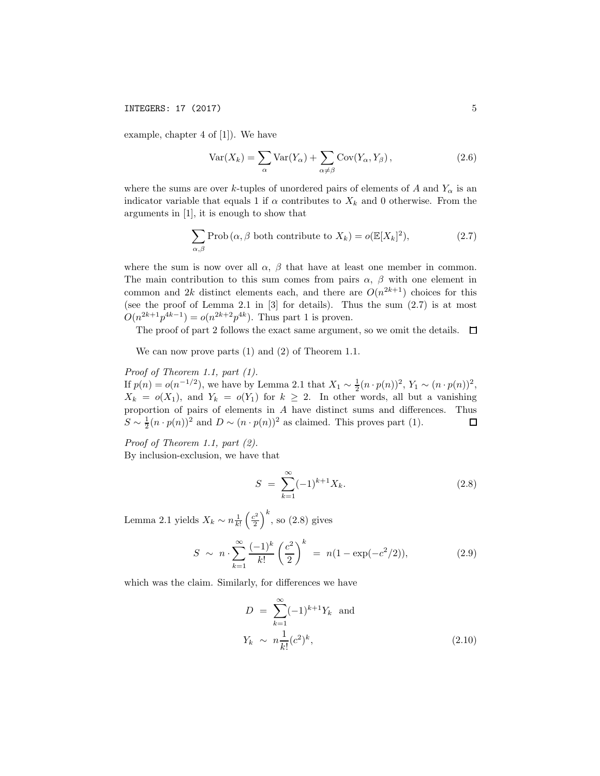example, chapter 4 of [1]). We have

$$
Var(X_k) = \sum_{\alpha} Var(Y_{\alpha}) + \sum_{\alpha \neq \beta} Cov(Y_{\alpha}, Y_{\beta}), \qquad (2.6)
$$

where the sums are over *k*-tuples of unordered pairs of elements of *A* and  $Y_\alpha$  is an indicator variable that equals 1 if  $\alpha$  contributes to  $X_k$  and 0 otherwise. From the arguments in [1], it is enough to show that

$$
\sum_{\alpha,\beta} \text{Prob}(\alpha,\beta \text{ both contribute to } X_k) = o(\mathbb{E}[X_k]^2), \tag{2.7}
$$

where the sum is now over all  $\alpha$ ,  $\beta$  that have at least one member in common. The main contribution to this sum comes from pairs  $\alpha$ ,  $\beta$  with one element in common and 2*k* distinct elements each, and there are  $O(n^{2k+1})$  choices for this (see the proof of Lemma 2.1 in [3] for details). Thus the sum (2.7) is at most  $O(n^{2k+1}p^{4k-1}) = o(n^{2k+2}p^{4k})$ . Thus part 1 is proven.

The proof of part 2 follows the exact same argument, so we omit the details.  $\Box$ 

We can now prove parts (1) and (2) of Theorem 1.1.

# *Proof of Theorem 1.1, part (1).*

If  $p(n) = o(n^{-1/2})$ , we have by Lemma 2.1 that  $X_1 \sim \frac{1}{2}(n \cdot p(n))^2$ ,  $Y_1 \sim (n \cdot p(n))^2$ ,  $X_k = o(X_1)$ , and  $Y_k = o(Y_1)$  for  $k \geq 2$ . In other words, all but a vanishing proportion of pairs of elements in *A* have distinct sums and differences. Thus  $S \sim \frac{1}{2}(n \cdot p(n))^2$  and  $D \sim (n \cdot p(n))^2$  as claimed. This proves part (1).  $\Box$ 

*Proof of Theorem 1.1, part (2).*

By inclusion-exclusion, we have that

$$
S = \sum_{k=1}^{\infty} (-1)^{k+1} X_k.
$$
 (2.8)

Lemma 2.1 yields  $X_k \sim n \frac{1}{k!}$  $\left(\frac{c^2}{2}\right)$  $\big)^k$ , so  $(2.8)$  gives

$$
S \sim n \cdot \sum_{k=1}^{\infty} \frac{(-1)^k}{k!} \left(\frac{c^2}{2}\right)^k = n(1 - \exp(-c^2/2)), \tag{2.9}
$$

which was the claim. Similarly, for differences we have

$$
D = \sum_{k=1}^{\infty} (-1)^{k+1} Y_k \text{ and}
$$
  

$$
Y_k \sim n \frac{1}{k!} (c^2)^k,
$$
 (2.10)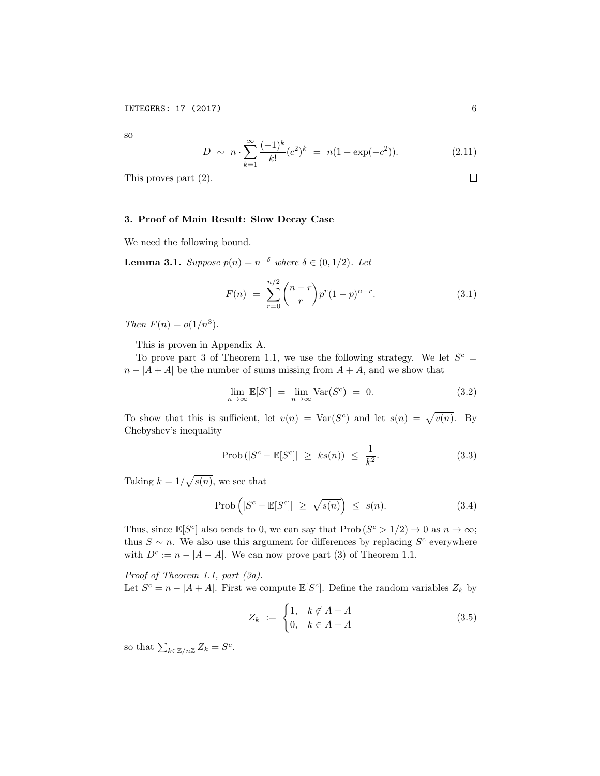so

$$
D \sim n \cdot \sum_{k=1}^{\infty} \frac{(-1)^k}{k!} (c^2)^k = n(1 - \exp(-c^2)). \tag{2.11}
$$

This proves part (2).

## 3. Proof of Main Result: Slow Decay Case

We need the following bound.

Lemma 3.1. *Suppose <sup>p</sup>*(*n*) = *<sup>n</sup>*−<sup>δ</sup> *where* <sup>δ</sup> <sup>∈</sup> (0*,* <sup>1</sup>*/*2)*. Let*

$$
F(n) = \sum_{r=0}^{n/2} {n-r \choose r} p^r (1-p)^{n-r}.
$$
 (3.1)

*Then*  $F(n) = o(1/n^3)$ *.* 

This is proven in Appendix A.

To prove part 3 of Theorem 1.1, we use the following strategy. We let  $S^c$  =  $n - |A + A|$  be the number of sums missing from  $A + A$ , and we show that

$$
\lim_{n \to \infty} \mathbb{E}[S^c] = \lim_{n \to \infty} \text{Var}(S^c) = 0.
$$
\n(3.2)

To show that this is sufficient, let  $v(n) = \text{Var}(S^c)$  and let  $s(n) = \sqrt{v(n)}$ . By Chebyshev's inequality

$$
\text{Prob}\left(|S^c - \mathbb{E}[S^c]| \ge ks(n)\right) \le \frac{1}{k^2}.\tag{3.3}
$$

Taking  $k = 1/\sqrt{s(n)}$ , we see that

$$
\text{Prob}\left(|S^c - \mathbb{E}[S^c]| \ge \sqrt{s(n)}\right) \le s(n). \tag{3.4}
$$

Thus, since  $\mathbb{E}[S^c]$  also tends to 0, we can say that  $\text{Prob}(S^c > 1/2) \to 0$  as  $n \to \infty$ ; thus  $S \sim n$ . We also use this argument for differences by replacing  $S^c$  everywhere with  $D^c := n - |A - A|$ . We can now prove part (3) of Theorem 1.1.

*Proof of Theorem 1.1, part (3a).*

Let  $S^c = n - |A + A|$ . First we compute  $\mathbb{E}[S^c]$ . Define the random variables  $Z_k$  by

$$
Z_k := \begin{cases} 1, & k \notin A + A \\ 0, & k \in A + A \end{cases}
$$
 (3.5)

so that  $\sum_{k \in \mathbb{Z}/n\mathbb{Z}} Z_k = S^c$ .

 $\Box$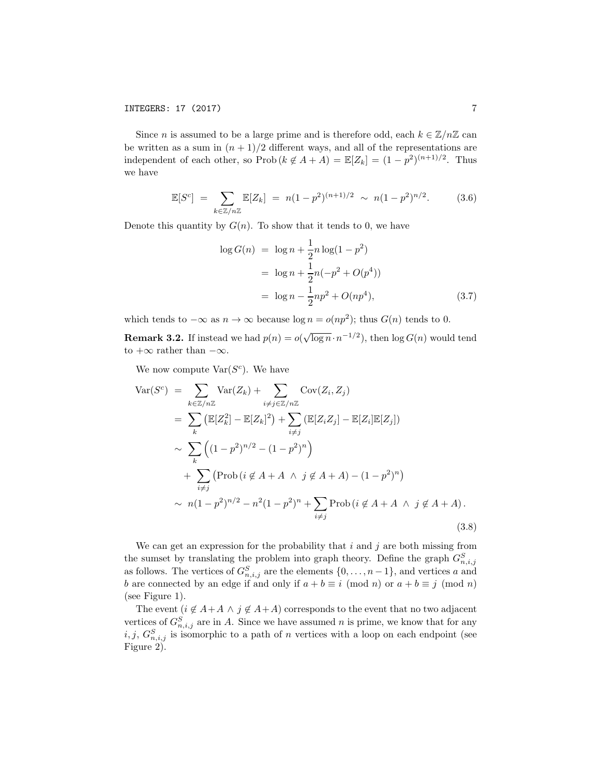Since *n* is assumed to be a large prime and is therefore odd, each  $k \in \mathbb{Z}/n\mathbb{Z}$  can be written as a sum in  $(n + 1)/2$  different ways, and all of the representations are independent of each other, so Prob $(k \notin A + A) = \mathbb{E}[Z_k] = (1 - p^2)^{(n+1)/2}$ . Thus we have

$$
\mathbb{E}[S^{c}] = \sum_{k \in \mathbb{Z}/n\mathbb{Z}} \mathbb{E}[Z_{k}] = n(1-p^{2})^{(n+1)/2} \sim n(1-p^{2})^{n/2}.
$$
 (3.6)

Denote this quantity by  $G(n)$ . To show that it tends to 0, we have

$$
\log G(n) = \log n + \frac{1}{2}n\log(1 - p^2)
$$
  
=  $\log n + \frac{1}{2}n(-p^2 + O(p^4))$   
=  $\log n - \frac{1}{2}np^2 + O(np^4),$  (3.7)

which tends to  $-\infty$  as  $n \to \infty$  because  $\log n = o(np^2)$ ; thus  $G(n)$  tends to 0.

**Remark 3.2.** If instead we had  $p(n) = o(\sqrt{\log n} \cdot n^{-1/2})$ , then  $\log G(n)$  would tend to  $+\infty$  rather than  $-\infty$ .

We now compute  $\text{Var}(S^c)$ . We have

$$
\begin{split}\n\text{Var}(S^{c}) &= \sum_{k \in \mathbb{Z}/n\mathbb{Z}} \text{Var}(Z_{k}) + \sum_{i \neq j \in \mathbb{Z}/n\mathbb{Z}} \text{Cov}(Z_{i}, Z_{j}) \\
&= \sum_{k} \left( \mathbb{E}[Z_{k}^{2}] - \mathbb{E}[Z_{k}]^{2} \right) + \sum_{i \neq j} \left( \mathbb{E}[Z_{i}Z_{j}] - \mathbb{E}[Z_{i}]\mathbb{E}[Z_{j}] \right) \\
&\sim \sum_{k} \left( (1 - p^{2})^{n/2} - (1 - p^{2})^{n} \right) \\
&\quad + \sum_{i \neq j} \left( \text{Prob}\left( i \notin A + A \land j \notin A + A \right) - (1 - p^{2})^{n} \right) \\
&\sim n(1 - p^{2})^{n/2} - n^{2}(1 - p^{2})^{n} + \sum_{i \neq j} \text{Prob}\left( i \notin A + A \land j \notin A + A \right).\n\end{split} \tag{3.8}
$$

We can get an expression for the probability that *i* and *j* are both missing from the sumset by translating the problem into graph theory. Define the graph  $G_{n,i,j}^S$ as follows. The vertices of  $G_{n,i,j}^S$  are the elements  $\{0,\ldots,n-1\}$ , and vertices *a* and *b* are connected by an edge if and only if  $a + b \equiv i \pmod{n}$  or  $a + b \equiv j \pmod{n}$ (see Figure 1).

The event  $(i \notin A + A \land j \notin A + A)$  corresponds to the event that no two adjacent vertices of  $G_{n,i,j}^S$  are in *A*. Since we have assumed *n* is prime, we know that for any  $i, j, G_{n,i,j}^S$  is isomorphic to a path of *n* vertices with a loop on each endpoint (see Figure 2).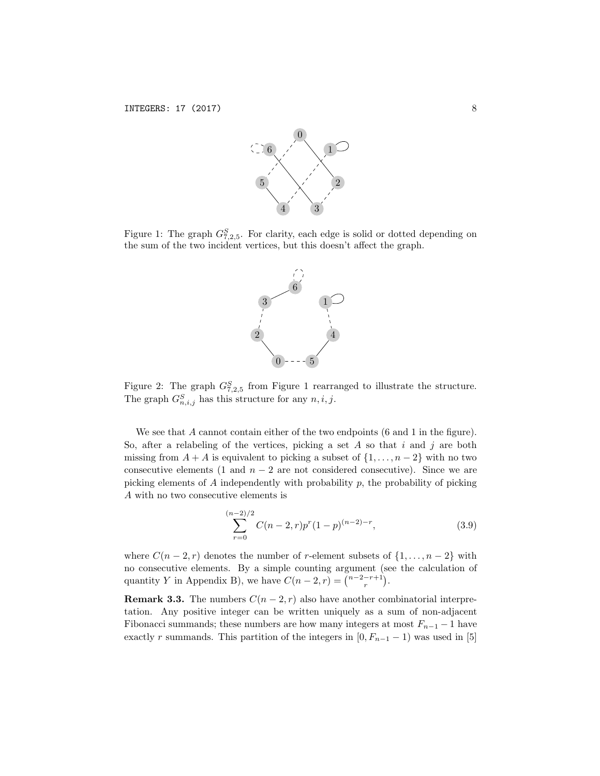

Figure 1: The graph  $G_{7,2,5}^S$ . For clarity, each edge is solid or dotted depending on the sum of the two incident vertices, but this doesn't affect the graph.



Figure 2: The graph  $G_{7,2,5}^S$  from Figure 1 rearranged to illustrate the structure. The graph  $G_{n,i,j}^S$  has this structure for any  $n, i, j$ .

We see that *A* cannot contain either of the two endpoints (6 and 1 in the figure). So, after a relabeling of the vertices, picking a set *A* so that *i* and *j* are both missing from  $A + A$  is equivalent to picking a subset of  $\{1, \ldots, n-2\}$  with no two consecutive elements (1 and  $n-2$  are not considered consecutive). Since we are picking elements of *A* independently with probability *p*, the probability of picking *A* with no two consecutive elements is

$$
\sum_{r=0}^{(n-2)/2} C(n-2,r)p^r(1-p)^{(n-2)-r},
$$
\n(3.9)

where  $C(n-2,r)$  denotes the number of *r*-element subsets of  $\{1,\ldots,n-2\}$  with no consecutive elements. By a simple counting argument (see the calculation of quantity *Y* in Appendix B), we have  $C(n - 2, r) = {n-2-r+1 \choose r}$ .

**Remark 3.3.** The numbers  $C(n-2, r)$  also have another combinatorial interpretation. Any positive integer can be written uniquely as a sum of non-adjacent Fibonacci summands; these numbers are how many integers at most  $F_{n-1} - 1$  have exactly *r* summands. This partition of the integers in  $[0, F_{n-1} - 1)$  was used in [5]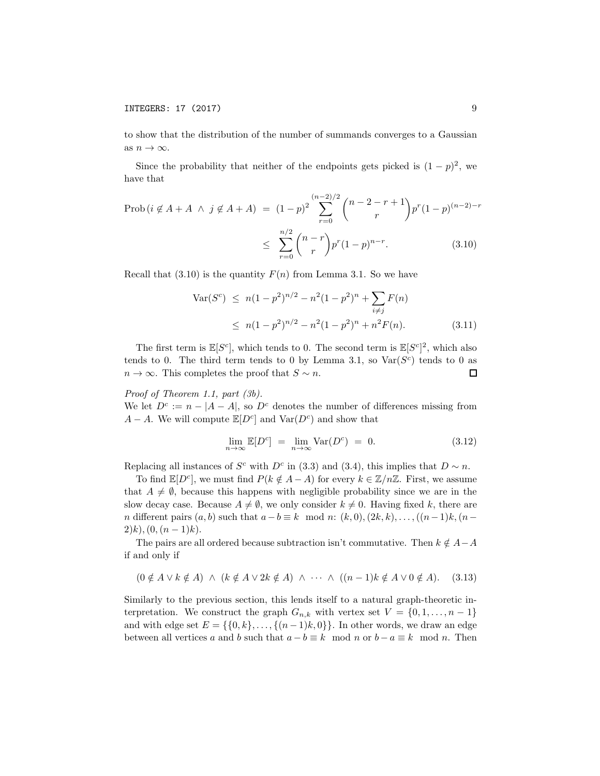to show that the distribution of the number of summands converges to a Gaussian as  $n \to \infty$ .

Since the probability that neither of the endpoints gets picked is  $(1 - p)^2$ , we have that

$$
\text{Prob}\left(i \notin A + A \land j \notin A + A\right) = (1 - p)^2 \sum_{r=0}^{(n-2)/2} {n-2-r+1 \choose r} p^r (1-p)^{(n-2)-r}
$$
\n
$$
\leq \sum_{r=0}^{n/2} {n-r \choose r} p^r (1-p)^{n-r}. \tag{3.10}
$$

Recall that  $(3.10)$  is the quantity  $F(n)$  from Lemma 3.1. So we have

$$
\operatorname{Var}(S^c) \le n(1 - p^2)^{n/2} - n^2(1 - p^2)^n + \sum_{i \ne j} F(n)
$$
  
 
$$
\le n(1 - p^2)^{n/2} - n^2(1 - p^2)^n + n^2 F(n).
$$
 (3.11)

The first term is  $\mathbb{E}[S^c]$ , which tends to 0. The second term is  $\mathbb{E}[S^c]^2$ , which also tends to 0. The third term tends to 0 by Lemma 3.1, so  $\text{Var}(S^c)$  tends to 0 as  $n \to \infty$ . This completes the proof that  $S \sim n$ .  $\Box$ 

*Proof of Theorem 1.1, part (3b).*

We let  $D^c := n - |A - A|$ , so  $D^c$  denotes the number of differences missing from *A* − *A*. We will compute  $\mathbb{E}[D^c]$  and Var $(D^c)$  and show that

$$
\lim_{n \to \infty} \mathbb{E}[D^c] = \lim_{n \to \infty} \text{Var}(D^c) = 0. \tag{3.12}
$$

Replacing all instances of *S<sup>c</sup>* with  $D^c$  in (3.3) and (3.4), this implies that  $D \sim n$ .

To find  $\mathbb{E}[D^c]$ , we must find  $P(k \notin A - A)$  for every  $k \in \mathbb{Z}/n\mathbb{Z}$ . First, we assume that  $A \neq \emptyset$ , because this happens with negligible probability since we are in the slow decay case. Because  $A \neq \emptyset$ , we only consider  $k \neq 0$ . Having fixed k, there are *n* different pairs  $(a, b)$  such that  $a - b \equiv k \mod n$ :  $(k, 0), (2k, k), \ldots, ((n-1)k, (n-1)k)$  $(2)k$ ,  $(0, (n-1)k)$ .

The pairs are all ordered because subtraction isn't commutative. Then  $k \notin A - A$ if and only if

$$
(0 \notin A \lor k \notin A) \land (k \notin A \lor 2k \notin A) \land \cdots \land ((n-1)k \notin A \lor 0 \notin A). \quad (3.13)
$$

Similarly to the previous section, this lends itself to a natural graph-theoretic interpretation. We construct the graph  $G_{n,k}$  with vertex set  $V = \{0, 1, \ldots, n-1\}$ and with edge set  $E = \{\{0, k\}, \ldots, \{(n-1)k, 0\}\}\.$  In other words, we draw an edge between all vertices *a* and *b* such that  $a - b \equiv k \mod n$  or  $b - a \equiv k \mod n$ . Then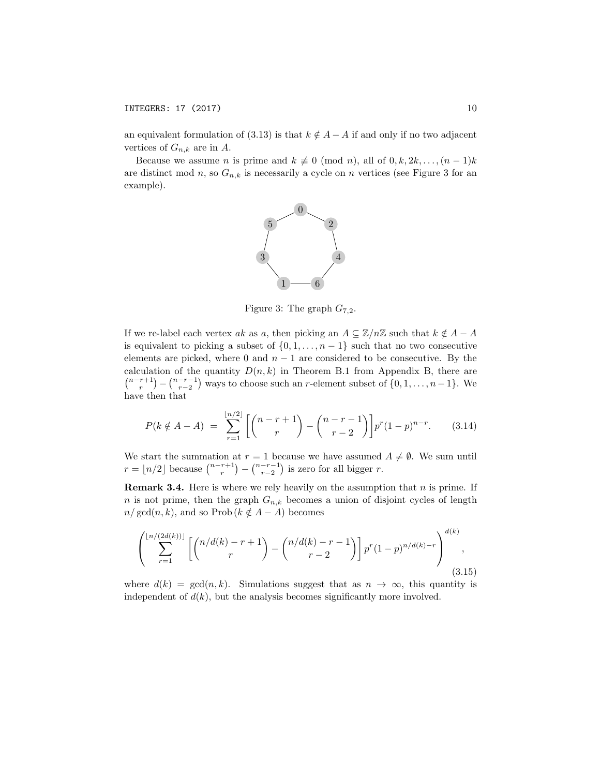an equivalent formulation of (3.13) is that  $k \notin A - A$  if and only if no two adjacent vertices of  $G_{n,k}$  are in A.

Because we assume *n* is prime and  $k \neq 0 \pmod{n}$ , all of  $0, k, 2k, \ldots, (n-1)k$ are distinct mod *n*, so  $G_{n,k}$  is necessarily a cycle on *n* vertices (see Figure 3 for an example).



Figure 3: The graph  $G_{7,2}$ .

If we re-label each vertex *ak* as *a*, then picking an  $A \subseteq \mathbb{Z}/n\mathbb{Z}$  such that  $k \notin A - A$ is equivalent to picking a subset of  $\{0, 1, \ldots, n-1\}$  such that no two consecutive elements are picked, where 0 and  $n-1$  are considered to be consecutive. By the calculation of the quantity  $D(n, k)$  in Theorem B.1 from Appendix B, there are  $\binom{n-r+1}{r} - \binom{n-r-1}{r-2}$  ways to choose such an *r*-element subset of  $\{0, 1, \ldots, n-1\}$ . We have then that

$$
P(k \notin A - A) = \sum_{r=1}^{\lfloor n/2 \rfloor} \left[ \binom{n-r+1}{r} - \binom{n-r-1}{r-2} \right] p^r (1-p)^{n-r}.
$$
 (3.14)

We start the summation at  $r = 1$  because we have assumed  $A \neq \emptyset$ . We sum until  $r = \lfloor n/2 \rfloor$  because  $\binom{n-r+1}{r} - \binom{n-r-1}{r-2}$  is zero for all bigger *r*.

Remark 3.4. Here is where we rely heavily on the assumption that *n* is prime. If *n* is not prime, then the graph  $G_{n,k}$  becomes a union of disjoint cycles of length  $n/\gcd(n, k)$ , and so Prob $(k \notin A - A)$  becomes

$$
\left(\sum_{r=1}^{\lfloor n/(2d(k))\rfloor} \left[ \binom{n/d(k)-r+1}{r} - \binom{n/d(k)-r-1}{r-2} \right] p^r (1-p)^{n/d(k)-r} \right)^{d(k)},\tag{3.15}
$$

where  $d(k) = \gcd(n, k)$ . Simulations suggest that as  $n \to \infty$ , this quantity is independent of  $d(k)$ , but the analysis becomes significantly more involved.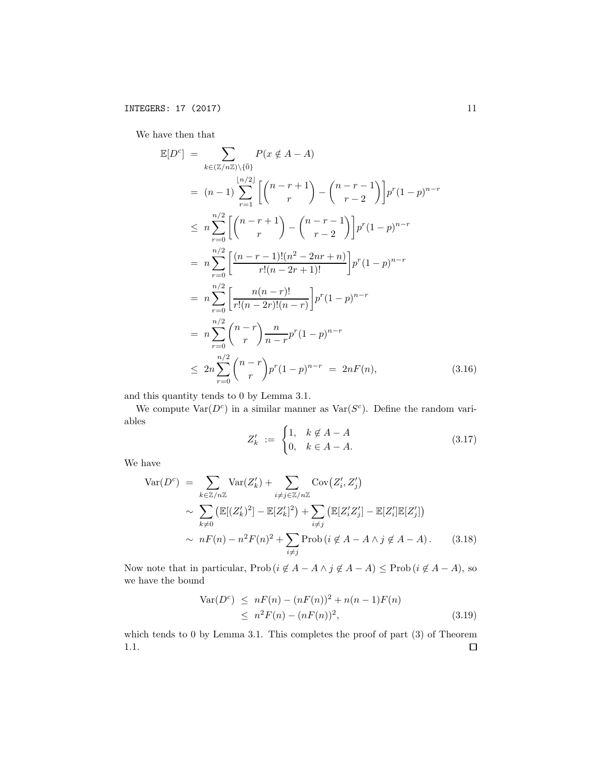We have then that

$$
\mathbb{E}[D^{c}] = \sum_{k \in (\mathbb{Z}/n\mathbb{Z}) \setminus \{\bar{0}\}} P(x \notin A - A)
$$
\n
$$
= (n-1) \sum_{r=1}^{\lfloor n/2 \rfloor} \left[ \binom{n-r+1}{r} - \binom{n-r-1}{r-2} \right] p^r (1-p)^{n-r}
$$
\n
$$
\leq n \sum_{r=0}^{n/2} \left[ \binom{n-r+1}{r} - \binom{n-r-1}{r-2} \right] p^r (1-p)^{n-r}
$$
\n
$$
= n \sum_{r=0}^{n/2} \left[ \frac{(n-r-1)!(n^2 - 2nr + n)}{r!(n-2r+1)!} \right] p^r (1-p)^{n-r}
$$
\n
$$
= n \sum_{r=0}^{n/2} \left[ \frac{n(n-r)!}{r!(n-2r)!(n-r)} \right] p^r (1-p)^{n-r}
$$
\n
$$
= n \sum_{r=0}^{n/2} \binom{n-r}{r} \frac{n}{n-r} p^r (1-p)^{n-r}
$$
\n
$$
\leq 2n \sum_{r=0}^{n/2} \binom{n-r}{r} p^r (1-p)^{n-r} = 2nF(n), \qquad (3.16)
$$

and this quantity tends to 0 by Lemma 3.1.

We compute  $\text{Var}(D^c)$  in a similar manner as  $\text{Var}(S^c)$ . Define the random variables

$$
Z'_{k} := \begin{cases} 1, & k \notin A - A \\ 0, & k \in A - A. \end{cases}
$$
 (3.17)

We have

$$
\operatorname{Var}(D^c) = \sum_{k \in \mathbb{Z}/n\mathbb{Z}} \operatorname{Var}(Z'_k) + \sum_{i \neq j \in \mathbb{Z}/n\mathbb{Z}} \operatorname{Cov}(Z'_i, Z'_j)
$$
  
 
$$
\sim \sum_{k \neq 0} \left( \mathbb{E}[(Z'_k)^2] - \mathbb{E}[Z'_k]^2 \right) + \sum_{i \neq j} \left( \mathbb{E}[Z'_i Z'_j] - \mathbb{E}[Z'_i] \mathbb{E}[Z'_j] \right)
$$
  
 
$$
\sim nF(n) - n^2 F(n)^2 + \sum_{i \neq j} \operatorname{Prob}(i \notin A - A \land j \notin A - A).
$$
 (3.18)

Now note that in particular,  $\text{Prob}\left(i \notin A - A \land j \notin A - A\right) \leq \text{Prob}\left(i \notin A - A\right)$ , so we have the bound

$$
Var(Dc) \le nF(n) - (nF(n))^{2} + n(n - 1)F(n)
$$
  
\n
$$
\le n^{2}F(n) - (nF(n))^{2},
$$
\n(3.19)

which tends to 0 by Lemma 3.1. This completes the proof of part (3) of Theorem 1.1. $\Box$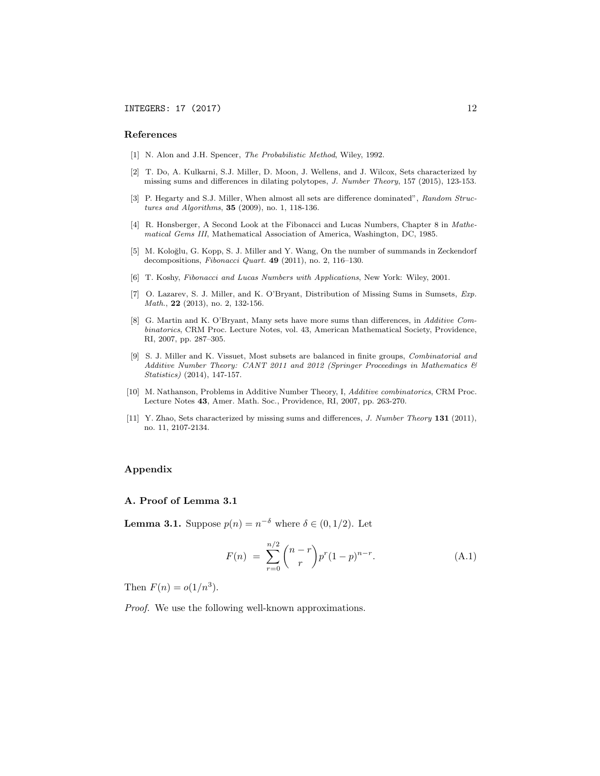#### References

- [1] N. Alon and J.H. Spencer, *The Probabilistic Method*, Wiley, 1992.
- [2] T. Do, A. Kulkarni, S.J. Miller, D. Moon, J. Wellens, and J. Wilcox, Sets characterized by missing sums and differences in dilating polytopes, *J. Number Theory*, 157 (2015), 123-153.
- [3] P. Hegarty and S.J. Miller, When almost all sets are difference dominated", *Random Structures and Algorithms*, 35 (2009), no. 1, 118-136.
- [4] R. Honsberger, A Second Look at the Fibonacci and Lucas Numbers, Chapter 8 in *Mathematical Gems III*, Mathematical Association of America, Washington, DC, 1985.
- [5] M. Koloğlu, G. Kopp, S. J. Miller and Y. Wang, On the number of summands in Zeckendorf decompositions, *Fibonacci Quart.* 49 (2011), no. 2, 116–130.
- [6] T. Koshy, *Fibonacci and Lucas Numbers with Applications*, New York: Wiley, 2001.
- [7] O. Lazarev, S. J. Miller, and K. O'Bryant, Distribution of Missing Sums in Sumsets, *Exp. Math.*, **22** (2013), no. 2, 132-156.
- [8] G. Martin and K. O'Bryant, Many sets have more sums than differences, in *Additive Combinatorics*, CRM Proc. Lecture Notes, vol. 43, American Mathematical Society, Providence, RI, 2007, pp. 287–305.
- [9] S. J. Miller and K. Vissuet, Most subsets are balanced in finite groups, *Combinatorial and Additive Number Theory: CANT 2011 and 2012 (Springer Proceedings in Mathematics & Statistics)* (2014), 147-157.
- [10] M. Nathanson, Problems in Additive Number Theory, I, *Additive combinatorics*, CRM Proc. Lecture Notes 43, Amer. Math. Soc., Providence, RI, 2007, pp. 263-270.
- [11] Y. Zhao, Sets characterized by missing sums and differences, *J. Number Theory* 131 (2011), no. 11, 2107-2134.

## Appendix

## A. Proof of Lemma 3.1

**Lemma 3.1.** Suppose  $p(n) = n^{-\delta}$  where  $\delta \in (0, 1/2)$ . Let

$$
F(n) = \sum_{r=0}^{n/2} {n-r \choose r} p^r (1-p)^{n-r}.
$$
 (A.1)

Then  $F(n) = o(1/n^3)$ .

*Proof.* We use the following well-known approximations.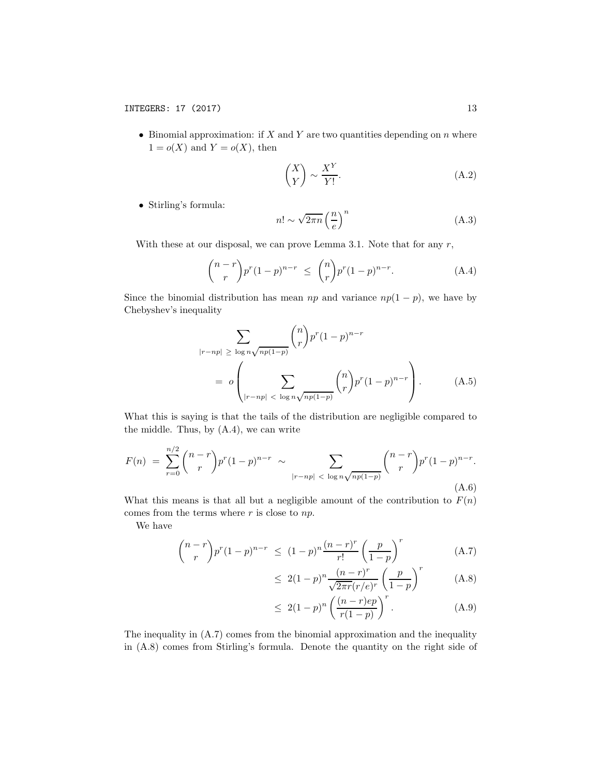*•* Binomial approximation: if *X* and *Y* are two quantities depending on *n* where  $1 = o(X)$  and  $Y = o(X)$ , then

$$
\binom{X}{Y} \sim \frac{X^Y}{Y!}.\tag{A.2}
$$

*•* Stirling's formula:

$$
n! \sim \sqrt{2\pi n} \left(\frac{n}{e}\right)^n \tag{A.3}
$$

With these at our disposal, we can prove Lemma 3.1. Note that for any *r*,

$$
{\binom{n-r}{r}} p^r (1-p)^{n-r} \leq {\binom{n}{r}} p^r (1-p)^{n-r}.
$$
 (A.4)

Since the binomial distribution has mean  $np$  and variance  $np(1 - p)$ , we have by Chebyshev's inequality

$$
\sum_{|r-np| \ge \log n\sqrt{np(1-p)}} \binom{n}{r} p^r (1-p)^{n-r}
$$
\n
$$
= o \left( \sum_{|r-np| \, < \, \log n\sqrt{np(1-p)}} \binom{n}{r} p^r (1-p)^{n-r} \right). \tag{A.5}
$$

What this is saying is that the tails of the distribution are negligible compared to the middle. Thus, by  $(A.4)$ , we can write

$$
F(n) = \sum_{r=0}^{n/2} {n-r \choose r} p^r (1-p)^{n-r} \sim \sum_{|r-np| \; < \; \log n \sqrt{np(1-p)}} {n-r \choose r} p^r (1-p)^{n-r}.
$$
\n(A.6)

What this means is that all but a negligible amount of the contribution to  $F(n)$ comes from the terms where *r* is close to *np*.

We have

$$
{\binom{n-r}{r}} p^r (1-p)^{n-r} \le (1-p)^n \frac{(n-r)^r}{r!} \left(\frac{p}{1-p}\right)^r \tag{A.7}
$$

$$
\leq 2(1-p)^n \frac{(n-r)^r}{\sqrt{2\pi r (r/e)^r}} \left(\frac{p}{1-p}\right)^r \tag{A.8}
$$

$$
\leq 2(1-p)^n \left(\frac{(n-r)ep}{r(1-p)}\right)^r. \tag{A.9}
$$

The inequality in (A.7) comes from the binomial approximation and the inequality in (A.8) comes from Stirling's formula. Denote the quantity on the right side of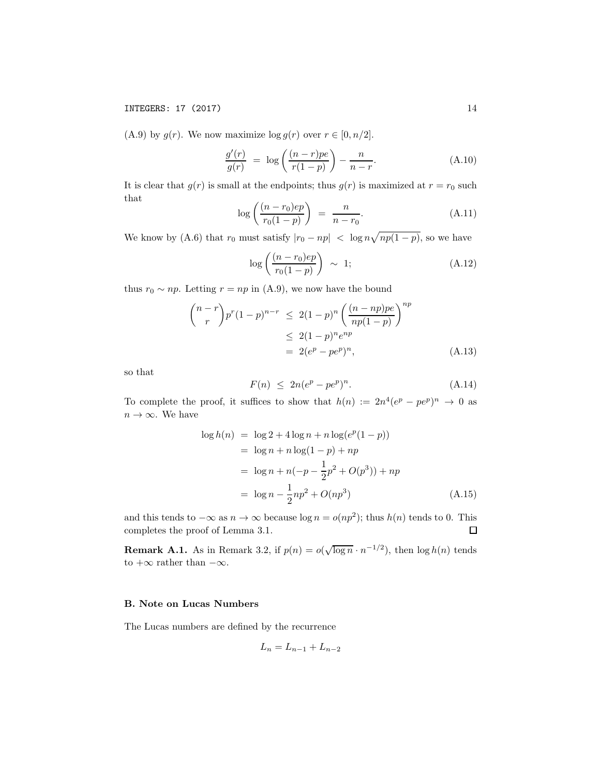# INTEGERS: 17 (2017) 14

(A.9) by  $g(r)$ . We now maximize  $\log g(r)$  over  $r \in [0, n/2]$ .

$$
\frac{g'(r)}{g(r)} = \log\left(\frac{(n-r)p e}{r(1-p)}\right) - \frac{n}{n-r}.\tag{A.10}
$$

It is clear that  $g(r)$  is small at the endpoints; thus  $g(r)$  is maximized at  $r = r_0$  such that

$$
\log\left(\frac{(n-r_0)ep}{r_0(1-p)}\right) = \frac{n}{n-r_0}.\tag{A.11}
$$

We know by (A.6) that  $r_0$  must satisfy  $|r_0 - np| < \log n \sqrt{np(1-p)}$ , so we have

$$
\log\left(\frac{(n-r_0)ep}{r_0(1-p)}\right) \sim 1;
$$
\n(A.12)

thus  $r_0 \sim np$ . Letting  $r = np$  in (A.9), we now have the bound

$$
{\binom{n-r}{r}} p^r (1-p)^{n-r} \le 2(1-p)^n {\left(\frac{(n-np)p e}{np(1-p)}\right)}^{np}
$$
  
 
$$
\le 2(1-p)^n e^{np}
$$
  
 
$$
= 2(e^p - pe^p)^n,
$$
 (A.13)

so that

$$
F(n) \leq 2n(e^p - pe^p)^n. \tag{A.14}
$$

To complete the proof, it suffices to show that  $h(n) := 2n^4(e^p - pe^p)^n \to 0$  as  $n\to\infty.$  We have

$$
\log h(n) = \log 2 + 4 \log n + n \log(e^p(1-p))
$$
  
= log n + n log(1 - p) + np  
= log n + n(-p -  $\frac{1}{2}p^2$  + O(p<sup>3</sup>)) + np  
= log n -  $\frac{1}{2}$ np<sup>2</sup> + O(np<sup>3</sup>) (A.15)

and this tends to  $-\infty$  as  $n \to \infty$  because log  $n = o(np^2)$ ; thus  $h(n)$  tends to 0. This completes the proof of Lemma 3.1. □ completes the proof of Lemma 3.1.

**Remark A.1.** As in Remark 3.2, if  $p(n) = o(\sqrt{\log n} \cdot n^{-1/2})$ , then  $\log h(n)$  tends to  $+\infty$  rather than  $-\infty$ .

## B. Note on Lucas Numbers

The Lucas numbers are defined by the recurrence

$$
L_n = L_{n-1} + L_{n-2}
$$